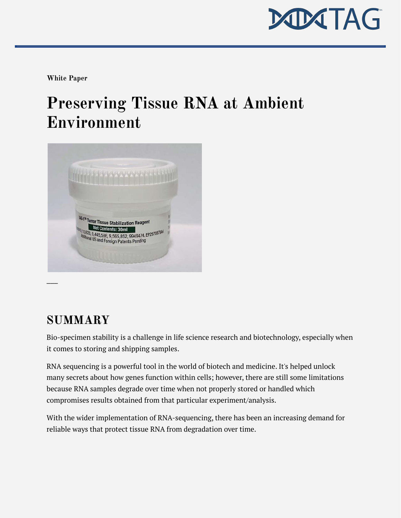

**White Paper**

## **Preserving Tissue RNA at Ambient Environment**



## **SUMMARY**

Bio-specimen stability is a challenge in life science research and biotechnology, especially when it comes to storing and shipping samples.

RNA sequencing is a powerful tool in the world of biotech and medicine. It's helped unlock many secrets about how genes function within cells; however, there are still some limitations because RNA samples degrade over time when not properly stored or handled which compromises results obtained from that particular experiment/analysis.

With the wider implementation of RNA-sequencing, there has been an increasing demand for reliable ways that protect tissue RNA from degradation over time.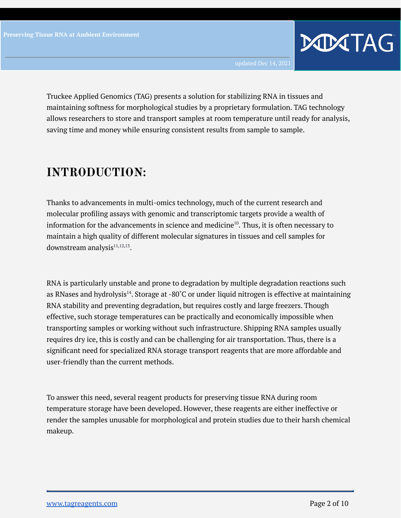**DODATAG** 

Truckee Applied Genomics (TAG) presents a solution for stabilizing RNA in tissues and maintaining softness for morphological studies by a proprietary formulation. TAG technology allows researchers to store and transport samples at room temperature until ready for analysis, saving time and money while ensuring consistent results from sample to sample.

## **INTRODUCTION:**

Thanks to advancements in multi-omics technology, much of the current research and molecular profiling assays with genomic and transcriptomic targets provide a wealth of information for the advancements in science and medicine $10$ . Thus, it is often necessary to maintain a high quality of different molecular signatures in tissues and cell samples for downstream analysis $11,12,13$  $11,12,13$  $11,12,13$ .

RNA is particularly unstable and prone to degradation by multiple degradation reactions such as RNases and hydrolysis<sup>[14](https://www.nature.com/articles/ejhg2013145)</sup>. Storage at -80°C or under liquid nitrogen is effective at maintaining RNA stability and preventing degradation, but requires costly and large freezers. Though effective, such storage temperatures can be practically and economically impossible when transporting samples or working without such infrastructure. Shipping RNA samples usually requires dry ice, this is costly and can be challenging for air transportation. Thus, there is a significant need for specialized RNA storage transport reagents that are more affordable and user-friendly than the current methods.

To answer this need, several reagent products for preserving tissue RNA during room temperature storage have been developed. However, these reagents are either ineffective or render the samples unusable for morphological and protein studies due to their harsh chemical makeup.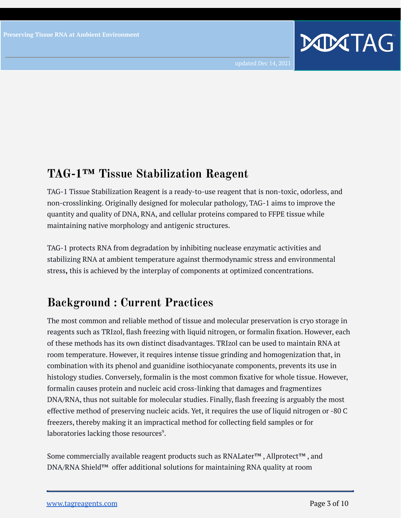

## **TAG-1™ Tissue Stabilization Reagent**

TAG-1 Tissue Stabilization Reagent is a ready-to-use reagent that is non-toxic, odorless, and non-crosslinking. Originally designed for molecular pathology, TAG-1 aims to improve the quantity and quality of DNA, RNA, and cellular proteins compared to FFPE tissue while maintaining native morphology and antigenic structures.

TAG-1 protects RNA from degradation by inhibiting nuclease enzymatic activities and stabilizing RNA at ambient temperature against thermodynamic stress and environmental stress**,** this is achieved by the interplay of components at optimized concentrations.

## **Background : Current Practices**

The most common and reliable method of tissue and molecular preservation is cryo storage in reagents such as TRIzol, flash freezing with liquid nitrogen, or formalin fixation. However, each of these methods has its own distinct disadvantages. TRIzol can be used to maintain RNA at room temperature. However, it requires intense tissue grinding and homogenization that, in combination with its phenol and guanidine isothiocyanate components, prevents its use in histology studies. Conversely, formalin is the most common fixative for whole tissue. However, formalin causes protein and nucleic acid cross-linking that damages and fragmentizes DNA/RNA, thus not suitable for molecular studies. Finally, flash freezing is arguably the most effective method of preserving nucleic acids. Yet, it requires the use of liquid nitrogen or -80 C freezers, thereby making it an impractical method for collecting field samples or for laboratories lacking those resources<sup>[9](https://www.zotero.org/google-docs/?08v6Lv)</sup>.

Some commercially available reagent products such as RNALater™ , Allprotect™ , and DNA/RNA Shield™ offer additional solutions for maintaining RNA quality at room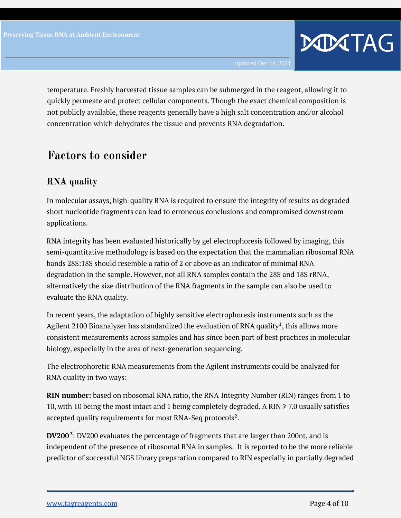**DODATAG** 

temperature. Freshly harvested tissue samples can be submerged in the reagent, allowing it to quickly permeate and protect cellular components. Though the exact chemical composition is not publicly available, these reagents generally have a high salt concentration and/or alcohol concentration which dehydrates the tissue and prevents RNA degradation.

### **Factors to consider**

#### **RNA quality**

In molecular assays, high-quality RNA is required to ensure the integrity of results as degraded short nucleotide fragments can lead to erroneous conclusions and compromised downstream applications.

RNA integrity has been evaluated historically by gel electrophoresis followed by imaging, this semi-quantitative methodology is based on the expectation that the mammalian ribosomal RNA bands 28S:18S should resemble a ratio of 2 or above as an indicator of minimal RNA degradation in the sample. However, not all RNA samples contain the 28S and 18S rRNA, alternatively the size distribution of the RNA fragments in the sample can also be used to evaluate the RNA quality.

In recent years, the adaptation of highly sensitive electrophoresis instruments such as the Agilent 2100 Bioanalyzer has standardized the evaluation of RNA quality<sup>1</sup>, this allows more consistent measurements across samples and has since been part of best practices in molecular biology, especially in the area of next-generation sequencing.

The electrophoretic RNA measurements from the Agilent instruments could be analyzed for RNA quality in two ways:

**RIN number:** based on ribosomal RNA ratio, the RNA Integrity Number (RIN) ranges from 1 to 10, with 10 being the most intact and 1 being completely degraded. A RIN ≥ 7.0 usually satisfies accepted quality requirements for most RNA-Seq protocols<sup>2</sup>.

**DV200 <sup>3</sup>** : DV200 evaluates the percentage of fragments that are larger than 200nt, and is independent of the presence of ribosomal RNA in samples. It is reported to be the more reliable predictor of successful NGS library preparation compared to RIN especially in partially degraded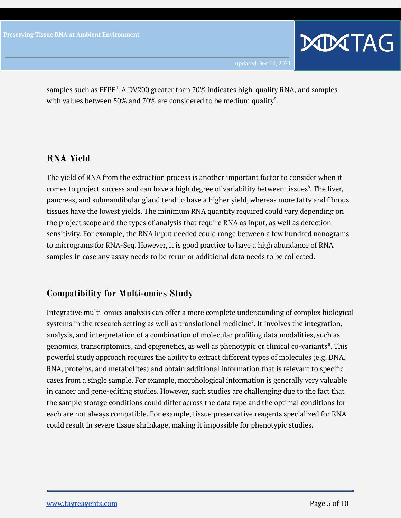**DODATAG** 

samples such as FFPE<sup>[4](https://www.illumina.com/content/dam/illumina-marketing/documents/products/technotes/evaluating-rna-quality-from-ffpe-samples-technical-note-470-2014-001.pdf)</sup>. A DV200 greater than 70% indicates high-quality RNA, and samples with values between [5](https://www.nature.com/articles/s41598-018-24781-6)0% and 70% are considered to be medium quality<sup>5</sup>.

#### **RNA Yield**

The yield of RNA from the extraction process is another important factor to consider when it comes to project success and can have a high degree of variability between tissues<sup>[6](https://www.ncbi.nlm.nih.gov/pmc/articles/PMC5026224/)</sup>. The liver, pancreas, and submandibular gland tend to have a higher yield, whereas more fatty and fibrous tissues have the lowest yields. The minimum RNA quantity required could vary depending on the project scope and the types of analysis that require RNA as input, as well as detection sensitivity. For example, the RNA input needed could range between a few hundred nanograms to micrograms for RNA-Seq. However, it is good practice to have a high abundance of RNA samples in case any assay needs to be rerun or additional data needs to be collected.

#### **Compatibility for Multi-omics Study**

Integrative multi-omics analysis can offer a more complete understanding of complex biological systems in the research setting as well as translational medicine<sup>[7](https://journals.asm.org/doi/10.1128/mSystems.00043-16)</sup>. It involves the integration, analysis, and interpretation of a combination of molecular profiling data modalities, such as genomics, transcriptomics, and epigenetics, as well as phenotypic or clinical co-variants<sup>[8](http://conesalab.org/wp-content/uploads/2021/07/Undisclosed-unmet-and-neglected-challenges-in-multi-omics-studies-1.pdf)</sup>. This powerful study approach requires the ability to extract different types of molecules (e.g. DNA, RNA, proteins, and metabolites) and obtain additional information that is relevant to specific cases from a single sample. For example, morphological information is generally very valuable in cancer and gene-editing studies. However, such studies are challenging due to the fact that the sample storage conditions could differ across the data type and the optimal conditions for each are not always compatible. For example, tissue preservative reagents specialized for RNA could result in severe tissue shrinkage, making it impossible for phenotypic studies.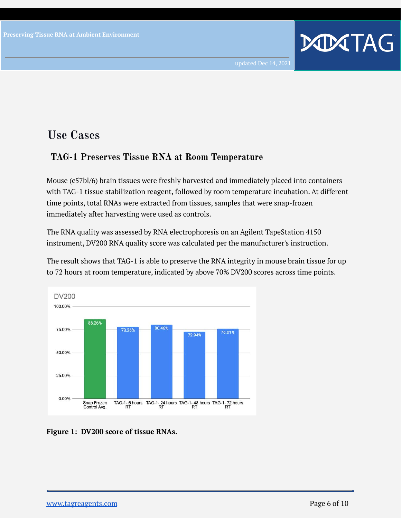

### **Use Cases**

#### **TAG-1 Preserves Tissue RNA at Room Temperature**

Mouse (c57bl/6) brain tissues were freshly harvested and immediately placed into containers with TAG-1 tissue stabilization reagent, followed by room temperature incubation. At different time points, total RNAs were extracted from tissues, samples that were snap-frozen immediately after harvesting were used as controls.

The RNA quality was assessed by RNA electrophoresis on an Agilent TapeStation 4150 instrument, DV200 RNA quality score was calculated per the manufacturer's instruction.

The result shows that TAG-1 is able to preserve the RNA integrity in mouse brain tissue for up to 72 hours at room temperature, indicated by above 70% DV200 scores across time points.



**Figure 1: DV200 score of tissue RNAs.**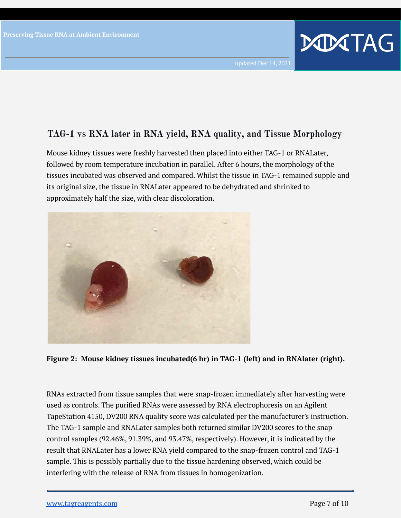#### **TAG-1 vs RNA later in RNA yield, RNA quality, and Tissue Morphology**

Mouse kidney tissues were freshly harvested then placed into either TAG-1 or RNALater, followed by room temperature incubation in parallel. After 6 hours, the morphology of the tissues incubated was observed and compared. Whilst the tissue in TAG-1 remained supple and its original size, the tissue in RNALater appeared to be dehydrated and shrinked to approximately half the size, with clear discoloration.



**Figure 2: Mouse kidney tissues incubated(6 hr) in TAG-1 (left) and in RNAlater (right).**

RNAs extracted from tissue samples that were snap-frozen immediately after harvesting were used as controls. The purified RNAs were assessed by RNA electrophoresis on an Agilent TapeStation 4150, DV200 RNA quality score was calculated per the manufacturer's instruction. The TAG-1 sample and RNALater samples both returned similar DV200 scores to the snap control samples (92.46%, 91.39%, and 93.47%, respectively). However, it is indicated by the result that RNALater has a lower RNA yield compared to the snap-frozen control and TAG-1 sample. This is possibly partially due to the tissue hardening observed, which could be interfering with the release of RNA from tissues in homogenization.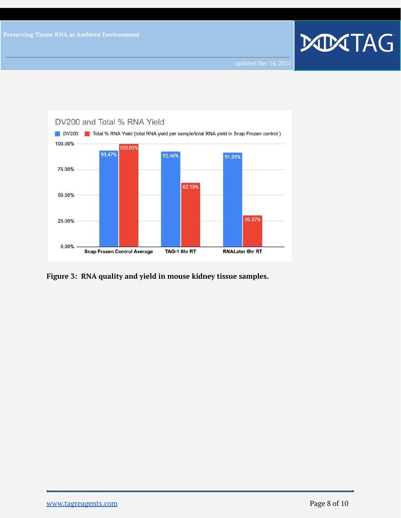

**Figure 3: RNA quality and yield in mouse kidney tissue samples.**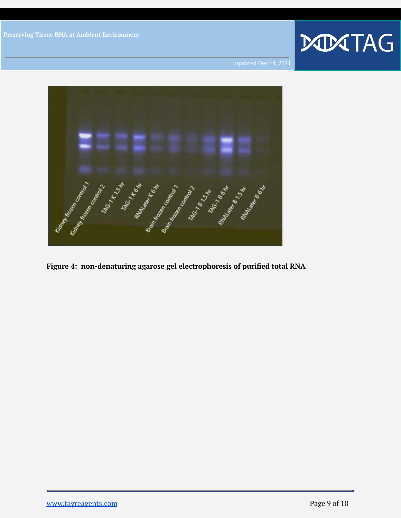

**Figure 4: non-denaturing agarose gel electrophoresis of purified total RNA**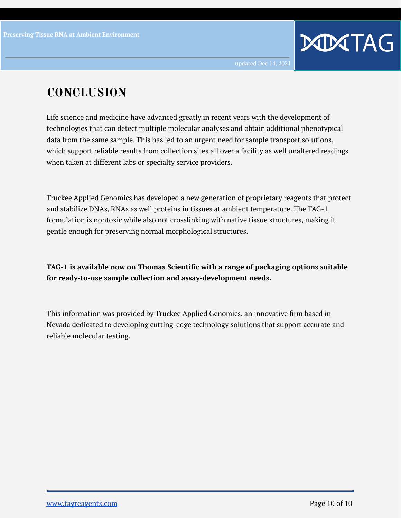

## **CONCLUSION**

Life science and medicine have advanced greatly in recent years with the development of technologies that can detect multiple molecular analyses and obtain additional phenotypical data from the same sample. This has led to an urgent need for sample transport solutions, which support reliable results from collection sites all over a facility as well unaltered readings when taken at different labs or specialty service providers.

Truckee Applied Genomics has developed a new generation of proprietary reagents that protect and stabilize DNAs, RNAs as well proteins in tissues at ambient temperature. The TAG-1 formulation is nontoxic while also not crosslinking with native tissue structures, making it gentle enough for preserving normal morphological structures.

**TAG-1 is available now on Thomas Scientific with a range of packaging options suitable for ready-to-use sample collection and assay-development needs.**

This information was provided by Truckee Applied Genomics, an innovative firm based in Nevada dedicated to developing cutting-edge technology solutions that support accurate and reliable molecular testing.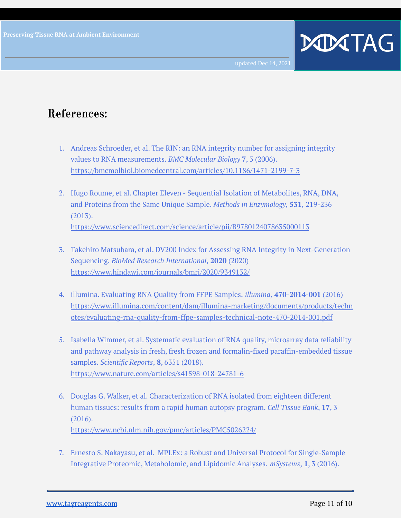## **References:**

- 1. Andreas Schroeder, et al. The RIN: an RNA integrity number for assigning integrity values to RNA measurements. *BMC Molecular Biology* **7**, 3 (2006). <https://bmcmolbiol.biomedcentral.com/articles/10.1186/1471-2199-7-3>
- 2. Hugo Roume, et al. Chapter Eleven Sequential Isolation of Metabolites, RNA, DNA, and Proteins from the Same Unique Sample. *Methods in Enzymology*, **531**, 219-236 (2013). <https://www.sciencedirect.com/science/article/pii/B9780124078635000113>
- 3. Takehiro Matsubara, et al. DV200 Index for Assessing RNA Integrity in Next-Generation Sequencing. *BioMed Research International*, **2020** (2020) <https://www.hindawi.com/journals/bmri/2020/9349132/>
- 4. illumina. Evaluating RNA Quality from FFPE Samples. *illumina,* **470-2014-001** (2016) [https://www.illumina.com/content/dam/illumina-marketing/documents/products/techn](https://www.illumina.com/content/dam/illumina-marketing/documents/products/technotes/evaluating-rna-quality-from-ffpe-samples-technical-note-470-2014-001.pdf) [otes/evaluating-rna-quality-from-ffpe-samples-technical-note-470-2014-001.pdf](https://www.illumina.com/content/dam/illumina-marketing/documents/products/technotes/evaluating-rna-quality-from-ffpe-samples-technical-note-470-2014-001.pdf)
- 5. Isabella Wimmer, et al. Systematic evaluation of RNA quality, microarray data reliability and pathway analysis in fresh, fresh frozen and formalin-fixed paraffin-embedded tissue samples. *Scientific Reports*, **8**, 6351 (2018). <https://www.nature.com/articles/s41598-018-24781-6>
- 6. Douglas G. Walker, et al. Characterization of RNA isolated from eighteen different human tissues: results from a rapid human autopsy program. *Cell Tissue Bank*, **17**, 3 (2016). <https://www.ncbi.nlm.nih.gov/pmc/articles/PMC5026224/>
- 7. Ernesto S. Nakayasu, et al. MPLEx: a Robust and Universal Protocol for Single-Sample Integrative Proteomic, Metabolomic, and Lipidomic Analyses. *mSystems*, **1**, 3 (2016).